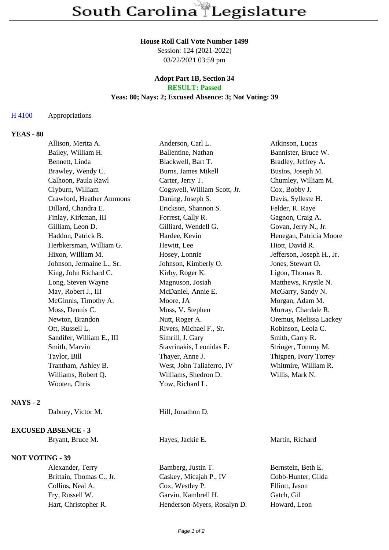#### **House Roll Call Vote Number 1499**

Session: 124 (2021-2022) 03/22/2021 03:59 pm

## **Adopt Part 1B, Section 34 RESULT: Passed**

### **Yeas: 80; Nays: 2; Excused Absence: 3; Not Voting: 39**

### H 4100 Appropriations

# **YEAS - 80**

|                 | Allison, Merita A.         | Anderson, Carl L.            | Atkinson, Lucas           |
|-----------------|----------------------------|------------------------------|---------------------------|
|                 | Bailey, William H.         | Ballentine, Nathan           | Bannister, Bruce W.       |
|                 | Bennett, Linda             | Blackwell, Bart T.           | Bradley, Jeffrey A.       |
|                 | Brawley, Wendy C.          | Burns, James Mikell          | Bustos, Joseph M.         |
|                 | Calhoon, Paula Rawl        | Carter, Jerry T.             | Chumley, William M.       |
|                 | Clyburn, William           | Cogswell, William Scott, Jr. | Cox, Bobby J.             |
|                 | Crawford, Heather Ammons   | Daning, Joseph S.            | Davis, Sylleste H.        |
|                 | Dillard, Chandra E.        | Erickson, Shannon S.         | Felder, R. Raye           |
|                 | Finlay, Kirkman, III       | Forrest, Cally R.            | Gagnon, Craig A.          |
|                 | Gilliam, Leon D.           | Gilliard, Wendell G.         | Govan, Jerry N., Jr.      |
|                 | Haddon, Patrick B.         | Hardee, Kevin                | Henegan, Patricia Moore   |
|                 | Herbkersman, William G.    | Hewitt, Lee                  | Hiott, David R.           |
|                 | Hixon, William M.          | Hosey, Lonnie                | Jefferson, Joseph H., Jr. |
|                 | Johnson, Jermaine L., Sr.  | Johnson, Kimberly O.         | Jones, Stewart O.         |
|                 | King, John Richard C.      | Kirby, Roger K.              | Ligon, Thomas R.          |
|                 | Long, Steven Wayne         | Magnuson, Josiah             | Matthews, Krystle N.      |
|                 | May, Robert J., III        | McDaniel, Annie E.           | McGarry, Sandy N.         |
|                 | McGinnis, Timothy A.       | Moore, JA                    | Morgan, Adam M.           |
|                 | Moss, Dennis C.            | Moss, V. Stephen             | Murray, Chardale R.       |
|                 | Newton, Brandon            | Nutt, Roger A.               | Oremus, Melissa Lackey    |
|                 | Ott, Russell L.            | Rivers, Michael F., Sr.      | Robinson, Leola C.        |
|                 | Sandifer, William E., III  | Simrill, J. Gary             | Smith, Garry R.           |
|                 | Smith, Marvin              | Stavrinakis, Leonidas E.     | Stringer, Tommy M.        |
|                 | Taylor, Bill               | Thayer, Anne J.              | Thigpen, Ivory Torrey     |
|                 | Trantham, Ashley B.        | West, John Taliaferro, IV    | Whitmire, William R.      |
|                 | Williams, Robert Q.        | Williams, Shedron D.         | Willis, Mark N.           |
|                 | Wooten, Chris              | Yow, Richard L.              |                           |
| <b>NAYS</b> - 2 |                            |                              |                           |
|                 | Dabney, Victor M.          | Hill, Jonathon D.            |                           |
|                 | <b>EXCUSED ABSENCE - 3</b> |                              |                           |
|                 | Bryant, Bruce M.           | Hayes, Jackie E.             | Martin, Richard           |
|                 | <b>NOT VOTING - 39</b>     |                              |                           |